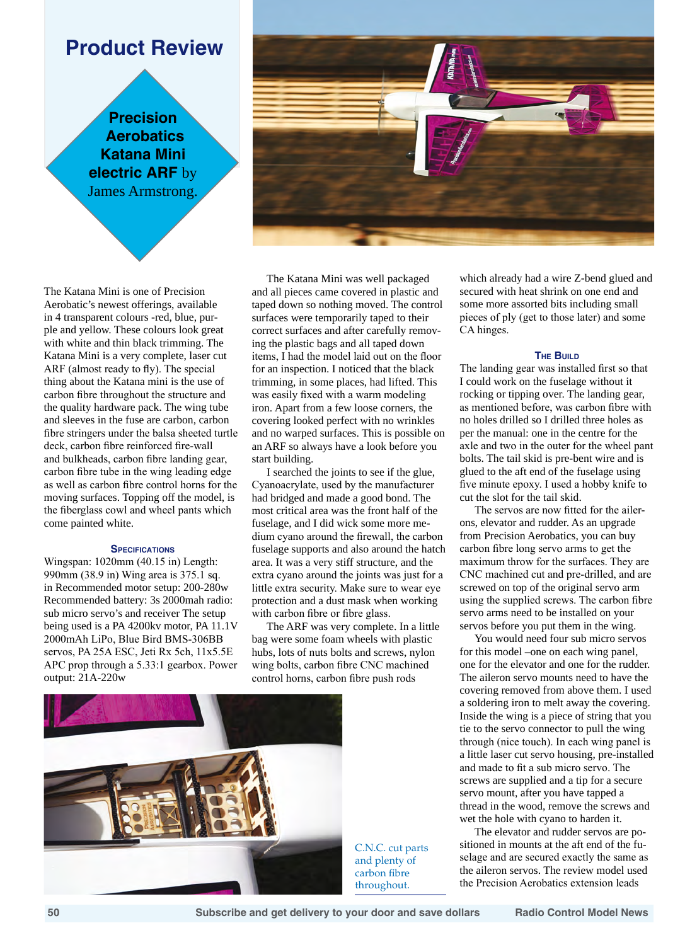# **Product Review**

**Precision Aerobatics Katana Mini electric ARF** by James Armstrong.



The Katana Mini is one of Precision Aerobatic's newest offerings, available in 4 transparent colours -red, blue, purple and yellow. These colours look great with white and thin black trimming. The Katana Mini is a very complete, laser cut ARF (almost ready to fly). The special thing about the Katana mini is the use of carbon fibre throughout the structure and the quality hardware pack. The wing tube and sleeves in the fuse are carbon, carbon fibre stringers under the balsa sheeted turtle deck, carbon fibre reinforced fire-wall and bulkheads, carbon fibre landing gear, carbon fibre tube in the wing leading edge as well as carbon fibre control horns for the moving surfaces. Topping off the model, is the fiberglass cowl and wheel pants which come painted white.

## **SPECIFICATIONS**

Wingspan: 1020mm (40.15 in) Length: 990mm (38.9 in) Wing area is 375.1 sq. in Recommended motor setup: 200-280w Recommended battery: 3s 2000mah radio: sub micro servo's and receiver The setup being used is a PA 4200kv motor, PA 11.1V 2000mAh LiPo, Blue Bird BMS-306BB servos, PA 25A ESC, Jeti Rx 5ch, 11x5.5E APC prop through a 5.33:1 gearbox. Power output: 21A-220w

The Katana Mini was well packaged and all pieces came covered in plastic and taped down so nothing moved. The control surfaces were temporarily taped to their correct surfaces and after carefully removing the plastic bags and all taped down items, I had the model laid out on the floor for an inspection. I noticed that the black trimming, in some places, had lifted. This was easily fixed with a warm modeling iron. Apart from a few loose corners, the covering looked perfect with no wrinkles and no warped surfaces. This is possible on an ARF so always have a look before you start building.

I searched the joints to see if the glue, Cyanoacrylate, used by the manufacturer had bridged and made a good bond. The most critical area was the front half of the fuselage, and I did wick some more medium cyano around the firewall, the carbon fuselage supports and also around the hatch area. It was a very stiff structure, and the extra cyano around the joints was just for a little extra security. Make sure to wear eye protection and a dust mask when working with carbon fibre or fibre glass.

The ARF was very complete. In a little bag were some foam wheels with plastic hubs, lots of nuts bolts and screws, nylon wing bolts, carbon fibre CNC machined control horns, carbon fibre push rods



C.N.C. cut parts and plenty of carbon fibre throughout.

which already had a wire Z-bend glued and secured with heat shrink on one end and some more assorted bits including small pieces of ply (get to those later) and some CA hinges.

#### **The Build**

The landing gear was installed first so that I could work on the fuselage without it rocking or tipping over. The landing gear, as mentioned before, was carbon fibre with no holes drilled so I drilled three holes as per the manual: one in the centre for the axle and two in the outer for the wheel pant bolts. The tail skid is pre-bent wire and is glued to the aft end of the fuselage using five minute epoxy. I used a hobby knife to cut the slot for the tail skid.

The servos are now fitted for the ailerons, elevator and rudder. As an upgrade from Precision Aerobatics, you can buy carbon fibre long servo arms to get the maximum throw for the surfaces. They are CNC machined cut and pre-drilled, and are screwed on top of the original servo arm using the supplied screws. The carbon fibre servo arms need to be installed on your servos before you put them in the wing.

You would need four sub micro servos for this model –one on each wing panel, one for the elevator and one for the rudder. The aileron servo mounts need to have the covering removed from above them. I used a soldering iron to melt away the covering. Inside the wing is a piece of string that you tie to the servo connector to pull the wing through (nice touch). In each wing panel is a little laser cut servo housing, pre-installed and made to fit a sub micro servo. The screws are supplied and a tip for a secure servo mount, after you have tapped a thread in the wood, remove the screws and wet the hole with cyano to harden it.

The elevator and rudder servos are positioned in mounts at the aft end of the fuselage and are secured exactly the same as the aileron servos. The review model used the Precision Aerobatics extension leads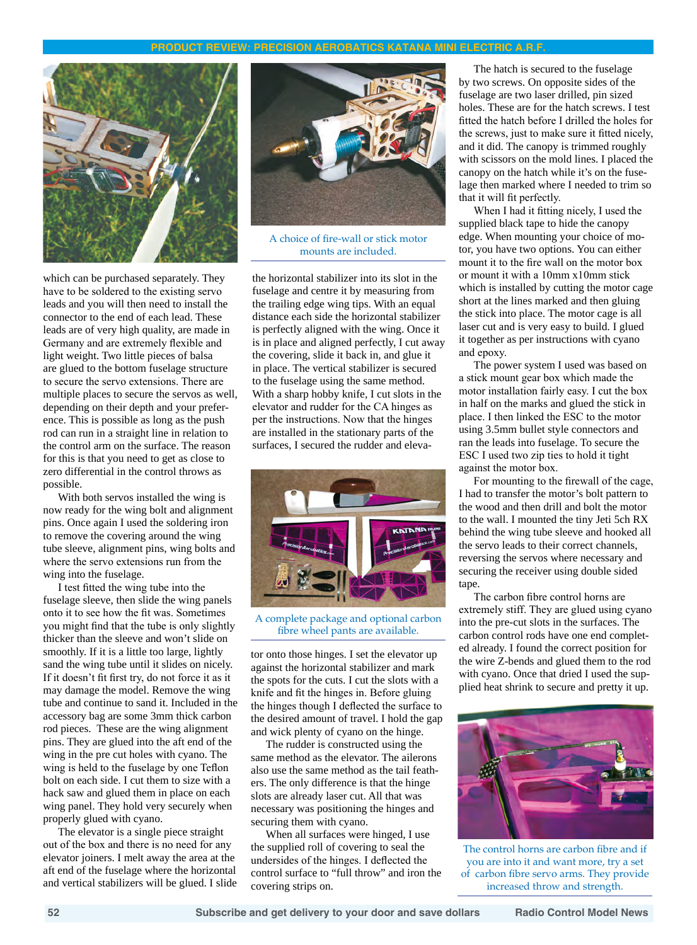

which can be purchased separately. They have to be soldered to the existing servo leads and you will then need to install the connector to the end of each lead. These leads are of very high quality, are made in Germany and are extremely flexible and light weight. Two little pieces of balsa are glued to the bottom fuselage structure to secure the servo extensions. There are multiple places to secure the servos as well, depending on their depth and your preference. This is possible as long as the push rod can run in a straight line in relation to the control arm on the surface. The reason for this is that you need to get as close to zero differential in the control throws as possible.

With both servos installed the wing is now ready for the wing bolt and alignment pins. Once again I used the soldering iron to remove the covering around the wing tube sleeve, alignment pins, wing bolts and where the servo extensions run from the wing into the fuselage.

I test fitted the wing tube into the fuselage sleeve, then slide the wing panels onto it to see how the fit was. Sometimes you might find that the tube is only slightly thicker than the sleeve and won't slide on smoothly. If it is a little too large, lightly sand the wing tube until it slides on nicely. If it doesn't fit first try, do not force it as it may damage the model. Remove the wing tube and continue to sand it. Included in the accessory bag are some 3mm thick carbon rod pieces. These are the wing alignment pins. They are glued into the aft end of the wing in the pre cut holes with cyano. The wing is held to the fuselage by one Teflon bolt on each side. I cut them to size with a hack saw and glued them in place on each wing panel. They hold very securely when properly glued with cyano.

The elevator is a single piece straight out of the box and there is no need for any elevator joiners. I melt away the area at the aft end of the fuselage where the horizontal and vertical stabilizers will be glued. I slide



A choice of fire-wall or stick motor mounts are included.

the horizontal stabilizer into its slot in the fuselage and centre it by measuring from the trailing edge wing tips. With an equal distance each side the horizontal stabilizer is perfectly aligned with the wing. Once it is in place and aligned perfectly, I cut away the covering, slide it back in, and glue it in place. The vertical stabilizer is secured to the fuselage using the same method. With a sharp hobby knife, I cut slots in the elevator and rudder for the CA hinges as per the instructions. Now that the hinges are installed in the stationary parts of the surfaces, I secured the rudder and eleva-



A complete package and optional carbon fibre wheel pants are available.

tor onto those hinges. I set the elevator up against the horizontal stabilizer and mark the spots for the cuts. I cut the slots with a knife and fit the hinges in. Before gluing the hinges though I deflected the surface to the desired amount of travel. I hold the gap and wick plenty of cyano on the hinge.

The rudder is constructed using the same method as the elevator. The ailerons also use the same method as the tail feathers. The only difference is that the hinge slots are already laser cut. All that was necessary was positioning the hinges and securing them with cyano.

When all surfaces were hinged, I use the supplied roll of covering to seal the undersides of the hinges. I deflected the control surface to "full throw" and iron the covering strips on.

The hatch is secured to the fuselage by two screws. On opposite sides of the fuselage are two laser drilled, pin sized holes. These are for the hatch screws. I test fitted the hatch before I drilled the holes for the screws, just to make sure it fitted nicely, and it did. The canopy is trimmed roughly with scissors on the mold lines. I placed the canopy on the hatch while it's on the fuselage then marked where I needed to trim so that it will fit perfectly.

When I had it fitting nicely, I used the supplied black tape to hide the canopy edge. When mounting your choice of motor, you have two options. You can either mount it to the fire wall on the motor box or mount it with a 10mm x10mm stick which is installed by cutting the motor cage short at the lines marked and then gluing the stick into place. The motor cage is all laser cut and is very easy to build. I glued it together as per instructions with cyano and epoxy.

The power system I used was based on a stick mount gear box which made the motor installation fairly easy. I cut the box in half on the marks and glued the stick in place. I then linked the ESC to the motor using 3.5mm bullet style connectors and ran the leads into fuselage. To secure the ESC I used two zip ties to hold it tight against the motor box.

For mounting to the firewall of the cage, I had to transfer the motor's bolt pattern to the wood and then drill and bolt the motor to the wall. I mounted the tiny Jeti 5ch RX behind the wing tube sleeve and hooked all the servo leads to their correct channels, reversing the servos where necessary and securing the receiver using double sided tape.

The carbon fibre control horns are extremely stiff. They are glued using cyano into the pre-cut slots in the surfaces. The carbon control rods have one end completed already. I found the correct position for the wire Z-bends and glued them to the rod with cyano. Once that dried I used the supplied heat shrink to secure and pretty it up.



The control horns are carbon fibre and if you are into it and want more, try a set of carbon fibre servo arms. They provide increased throw and strength.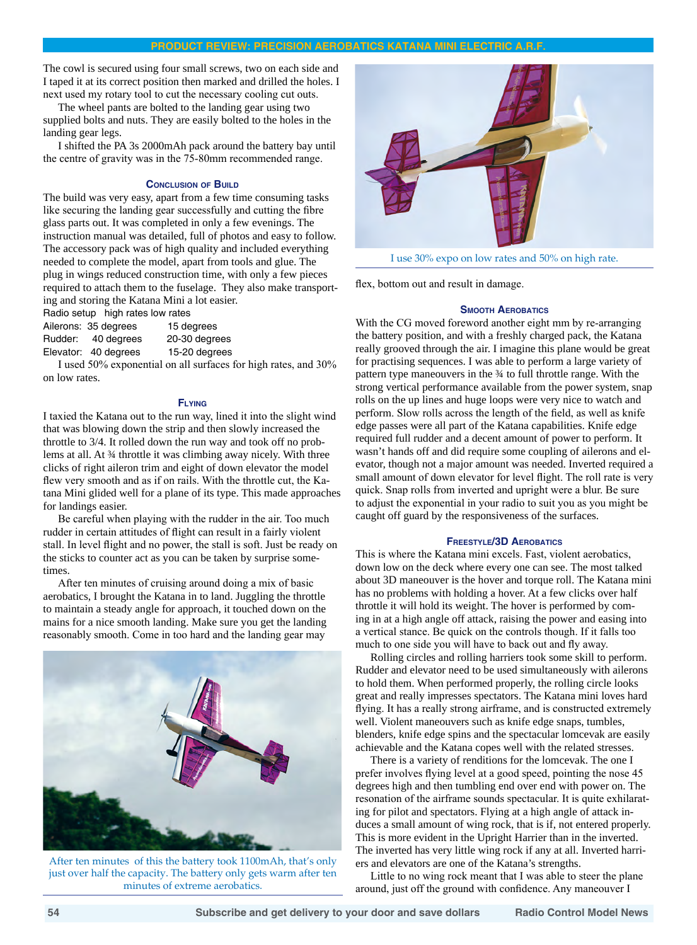The cowl is secured using four small screws, two on each side and I taped it at its correct position then marked and drilled the holes. I next used my rotary tool to cut the necessary cooling cut outs.

The wheel pants are bolted to the landing gear using two supplied bolts and nuts. They are easily bolted to the holes in the landing gear legs.

I shifted the PA 3s 2000mAh pack around the battery bay until the centre of gravity was in the 75-80mm recommended range.

## **Conclusion of Build**

The build was very easy, apart from a few time consuming tasks like securing the landing gear successfully and cutting the fibre glass parts out. It was completed in only a few evenings. The instruction manual was detailed, full of photos and easy to follow. The accessory pack was of high quality and included everything needed to complete the model, apart from tools and glue. The plug in wings reduced construction time, with only a few pieces required to attach them to the fuselage. They also make transporting and storing the Katana Mini a lot easier.

Radio setup high rates low rates

| Ailerons: 35 degrees | 15 degrees    |
|----------------------|---------------|
| Rudder: 40 degrees   | 20-30 degrees |
| Elevator: 40 degrees | 15-20 degrees |

I used 50% exponential on all surfaces for high rates, and 30% on low rates.

#### **Flying**

I taxied the Katana out to the run way, lined it into the slight wind that was blowing down the strip and then slowly increased the throttle to 3/4. It rolled down the run way and took off no problems at all. At ¾ throttle it was climbing away nicely. With three clicks of right aileron trim and eight of down elevator the model flew very smooth and as if on rails. With the throttle cut, the Katana Mini glided well for a plane of its type. This made approaches for landings easier.

Be careful when playing with the rudder in the air. Too much rudder in certain attitudes of flight can result in a fairly violent stall. In level flight and no power, the stall is soft. Just be ready on the sticks to counter act as you can be taken by surprise sometimes.

After ten minutes of cruising around doing a mix of basic aerobatics, I brought the Katana in to land. Juggling the throttle to maintain a steady angle for approach, it touched down on the mains for a nice smooth landing. Make sure you get the landing reasonably smooth. Come in too hard and the landing gear may



After ten minutes of this the battery took 1100mAh, that's only just over half the capacity. The battery only gets warm after ten minutes of extreme aerobatics.



I use 30% expo on low rates and 50% on high rate.

flex, bottom out and result in damage.

## **Smooth Aerobatics**

With the CG moved foreword another eight mm by re-arranging the battery position, and with a freshly charged pack, the Katana really grooved through the air. I imagine this plane would be great for practising sequences. I was able to perform a large variety of pattern type maneouvers in the ¾ to full throttle range. With the strong vertical performance available from the power system, snap rolls on the up lines and huge loops were very nice to watch and perform. Slow rolls across the length of the field, as well as knife edge passes were all part of the Katana capabilities. Knife edge required full rudder and a decent amount of power to perform. It wasn't hands off and did require some coupling of ailerons and elevator, though not a major amount was needed. Inverted required a small amount of down elevator for level flight. The roll rate is very quick. Snap rolls from inverted and upright were a blur. Be sure to adjust the exponential in your radio to suit you as you might be caught off guard by the responsiveness of the surfaces.

#### **Freestyle/3D Aerobatics**

This is where the Katana mini excels. Fast, violent aerobatics, down low on the deck where every one can see. The most talked about 3D maneouver is the hover and torque roll. The Katana mini has no problems with holding a hover. At a few clicks over half throttle it will hold its weight. The hover is performed by coming in at a high angle off attack, raising the power and easing into a vertical stance. Be quick on the controls though. If it falls too much to one side you will have to back out and fly away.

Rolling circles and rolling harriers took some skill to perform. Rudder and elevator need to be used simultaneously with ailerons to hold them. When performed properly, the rolling circle looks great and really impresses spectators. The Katana mini loves hard flying. It has a really strong airframe, and is constructed extremely well. Violent maneouvers such as knife edge snaps, tumbles, blenders, knife edge spins and the spectacular lomcevak are easily achievable and the Katana copes well with the related stresses.

There is a variety of renditions for the lomcevak. The one I prefer involves flying level at a good speed, pointing the nose 45 degrees high and then tumbling end over end with power on. The resonation of the airframe sounds spectacular. It is quite exhilarating for pilot and spectators. Flying at a high angle of attack induces a small amount of wing rock, that is if, not entered properly. This is more evident in the Upright Harrier than in the inverted. The inverted has very little wing rock if any at all. Inverted harriers and elevators are one of the Katana's strengths.

Little to no wing rock meant that I was able to steer the plane around, just off the ground with confidence. Any maneouver I